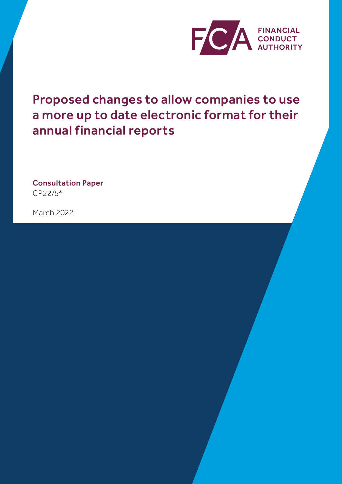

Proposed changes to allow companies to use a more up to date electronic format for their annual financial reports

Consultation Paper CP22/5\*

March 2022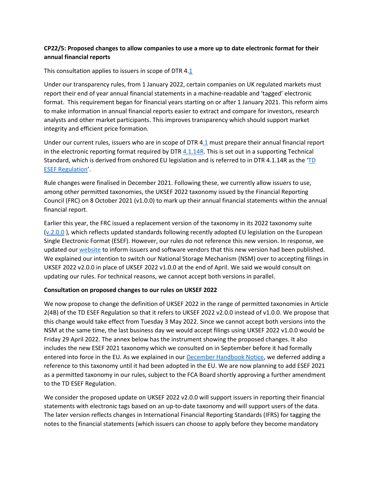## **CP22/5: Proposed changes to allow companies to use a more up to date electronic format for their annual financial reports**

This consultation applies to issuers in scope o[f DTR 4.1](https://www.handbook.fca.org.uk/handbook/DTR/4/1.html)

Under our transparency rules, from 1 January 2022, certain companies on UK regulated markets must report their end of year annual financial statements in a machine-readable and 'tagged' electronic format. This requirement began for financial years starting on or after 1 January 2021. This reform aims to make information in annual financial reports easier to extract and compare for investors, research analysts and other market participants. This improves transparency which should support market integrity and efficient price formation.

Under our current rules, issuers who are in scope of [DTR](https://www.handbook.fca.org.uk/handbook/DTR/4/1.html) 4.1 must prepare their annual financial report in the electronic reporting format required by DTR [4.1.14R.](https://www.handbook.fca.org.uk/handbook/DTR/4/1.html) This is set out in a supporting Technical Standard, which is derived from onshored EU legislation and is referred to in DTR 4.1.14R as the '[TD](https://www.handbook.fca.org.uk/techstandards/TD/2019/reg_del_2019_815_oj/?view=chapter)  [ESEF Regulation](https://www.handbook.fca.org.uk/techstandards/TD/2019/reg_del_2019_815_oj/?view=chapter)'.

Rule changes were finalised in December 2021. Following these, we currently allow issuers to use, among other permitted taxonomies, the UKSEF 2022 taxonomy issued by the Financial Reporting Council (FRC) on 8 October 2021 (v1.0.0) to mark up their annual financial statements within the annual financial report.

Earlier this year, the FRC issued a replacement version of the taxonomy in its 2022 taxonomy suite [\(v.2.0.0](https://www.frc.org.uk/accountants/accounting-and-reporting-policy/xbrl-frc-taxonomies) ), which reflects updated standards following recently adopted EU legislation on the European Single Electronic Format (ESEF). However, our rules do not reference this new version. In response, we updated our [website](https://www.fca.org.uk/markets/company-annual-financial-reporting-electronic-format) to inform issuers and software vendors that this new version had been published. We explained our intention to switch our National Storage Mechanism (NSM) over to accepting filings in UKSEF 2022 v2.0.0 in place of UKSEF 2022 v1.0.0 at the end of April. We said we would consult on updating our rules. For technical reasons, we cannot accept both versions in parallel.

#### **Consultation on proposed changes to our rules on UKSEF 2022**

We now propose to change the definition of UKSEF 2022 in the range of permitted taxonomies in Article 2(4B) of the TD ESEF Regulation so that it refers to UKSEF 2022 v2.0.0 instead of v1.0.0. We propose that this change would take effect from Tuesday 3 May 2022. Since we cannot accept both versions into the NSM at the same time, the last business day we would accept filings using UKSEF 2022 v1.0.0 would be Friday 29 April 2022. The annex below has the instrument showing the proposed changes. It also includes the new ESEF 2021 taxonomy which we consulted on in September before it had formally entered into force in the EU. As we explained in our [December Handbook Notice,](https://www.fca.org.uk/publication/handbook/handbook-notice-94.pdf) we deferred adding a reference to this taxonomy until it had been adopted in the EU. We are now planning to add ESEF 2021 as a permitted taxonomy in our rules, subject to the FCA Board shortly approving a further amendment to the TD ESEF Regulation.

We consider the proposed update on UKSEF 2022 v2.0.0 will support issuers in reporting their financial statements with electronic tags based on an up-to-date taxonomy and will support users of the data. The later version reflects changes in International Financial Reporting Standards (IFRS) for tagging the notes to the financial statements (which issuers can choose to apply before they become mandatory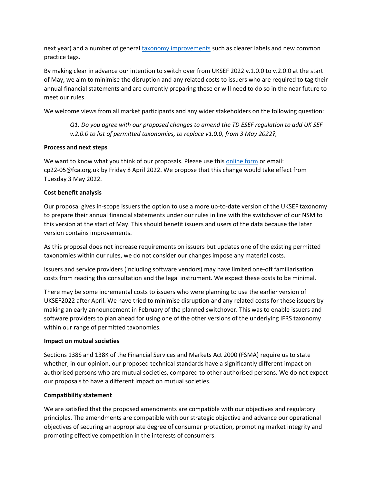next year) and a number of general [taxonomy improvements](https://www.ifrs.org/content/dam/ifrs/publications/amendments/english/2021/ifrs-taxonomy-2020-general-improvements-and-common-practice-presentation-of-information-in-primary-financial-statements.pdf) such as clearer labels and new common practice tags.

By making clear in advance our intention to switch over from UKSEF 2022 v.1.0.0 to v.2.0.0 at the start of May, we aim to minimise the disruption and any related costs to issuers who are required to tag their annual financial statements and are currently preparing these or will need to do so in the near future to meet our rules.

We welcome views from all market participants and any wider stakeholders on the following question:

*Q1: Do you agree with our proposed changes to amend the TD ESEF regulation to add UK SEF v.2.0.0 to list of permitted taxonomies, to replace v1.0.0, from 3 May 2022?,*

#### **Process and next steps**

We want to know what you think of our proposals. Please use this [online form](http://www.fca.org.uk/cp22-05-response-form) or email: cp22-05[@fca.org.uk b](mailto:cp22-05@fca.org.uk)y Friday 8 April 2022. We propose that this change would take effect from Tuesday 3 May 2022.

#### **Cost benefit analysis**

Our proposal gives in-scope issuers the option to use a more up-to-date version of the UKSEF taxonomy to prepare their annual financial statements under our rules in line with the switchover of our NSM to this version at the start of May. This should benefit issuers and users of the data because the later version contains improvements.

As this proposal does not increase requirements on issuers but updates one of the existing permitted taxonomies within our rules, we do not consider our changes impose any material costs.

Issuers and service providers (including software vendors) may have limited one-off familiarisation costs from reading this consultation and the legal instrument. We expect these costs to be minimal.

There may be some incremental costs to issuers who were planning to use the earlier version of UKSEF2022 after April. We have tried to minimise disruption and any related costs for these issuers by making an early announcement in February of the planned switchover. This was to enable issuers and software providers to plan ahead for using one of the other versions of the underlying IFRS taxonomy within our range of permitted taxonomies.

#### **Impact on mutual societies**

Sections 138S and 138K of the Financial Services and Markets Act 2000 (FSMA) require us to state whether, in our opinion, our proposed technical standards have a significantly different impact on authorised persons who are mutual societies, compared to other authorised persons. We do not expect our proposals to have a different impact on mutual societies.

#### **Compatibility statement**

We are satisfied that the proposed amendments are compatible with our objectives and regulatory principles. The amendments are compatible with our strategic objective and advance our operational objectives of securing an appropriate degree of consumer protection, promoting market integrity and promoting effective competition in the interests of consumers.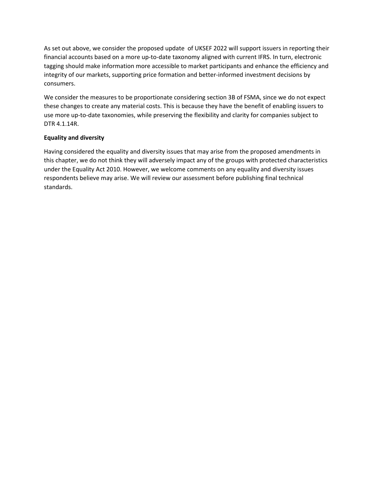As set out above, we consider the proposed update of UKSEF 2022 will support issuers in reporting their financial accounts based on a more up-to-date taxonomy aligned with current IFRS. In turn, electronic tagging should make information more accessible to market participants and enhance the efficiency and integrity of our markets, supporting price formation and better-informed investment decisions by consumers.

We consider the measures to be proportionate considering section 3B of FSMA, since we do not expect these changes to create any material costs. This is because they have the benefit of enabling issuers to use more up-to-date taxonomies, while preserving the flexibility and clarity for companies subject to DTR 4.1.14R.

#### **Equality and diversity**

Having considered the equality and diversity issues that may arise from the proposed amendments in this chapter, we do not think they will adversely impact any of the groups with protected characteristics under the Equality Act 2010. However, we welcome comments on any equality and diversity issues respondents believe may arise. We will review our assessment before publishing final technical standards.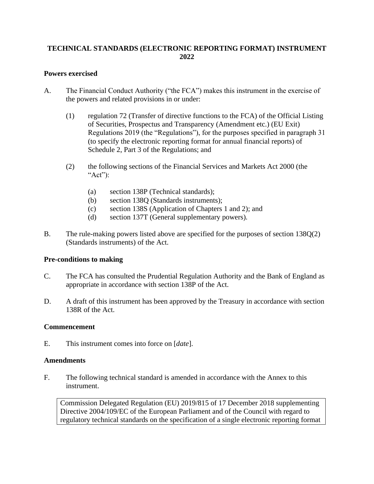# **TECHNICAL STANDARDS (ELECTRONIC REPORTING FORMAT) INSTRUMENT 2022**

## **Powers exercised**

- A. The Financial Conduct Authority ("the FCA") makes this instrument in the exercise of the powers and related provisions in or under:
	- (1) regulation 72 (Transfer of directive functions to the FCA) of the Official Listing of Securities, Prospectus and Transparency (Amendment etc.) (EU Exit) Regulations 2019 (the "Regulations"), for the purposes specified in paragraph 31 (to specify the electronic reporting format for annual financial reports) of Schedule 2, Part 3 of the Regulations; and
	- (2) the following sections of the Financial Services and Markets Act 2000 (the " $Act$ "):
		- (a) section 138P (Technical standards);
		- (b) section 138Q (Standards instruments);
		- (c) section 138S (Application of Chapters 1 and 2); and
		- (d) section 137T (General supplementary powers).
- B. The rule-making powers listed above are specified for the purposes of section 138Q(2) (Standards instruments) of the Act.

#### **Pre-conditions to making**

- C. The FCA has consulted the Prudential Regulation Authority and the Bank of England as appropriate in accordance with section 138P of the Act.
- D. A draft of this instrument has been approved by the Treasury in accordance with section 138R of the Act.

#### **Commencement**

E. This instrument comes into force on [*date*].

#### **Amendments**

F. The following technical standard is amended in accordance with the Annex to this instrument.

Commission Delegated Regulation (EU) 2019/815 of 17 December 2018 supplementing Directive 2004/109/EC of the European Parliament and of the Council with regard to regulatory technical standards on the specification of a single electronic reporting format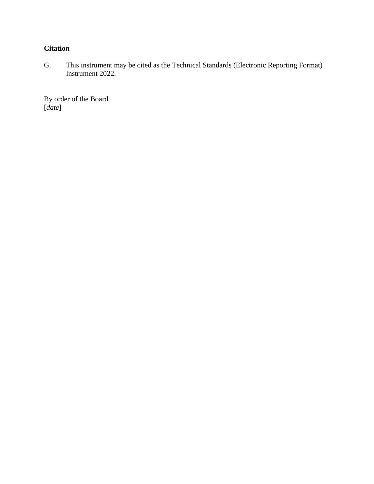# **Citation**

G. This instrument may be cited as the Technical Standards (Electronic Reporting Format) Instrument 2022.

By order of the Board [*date*]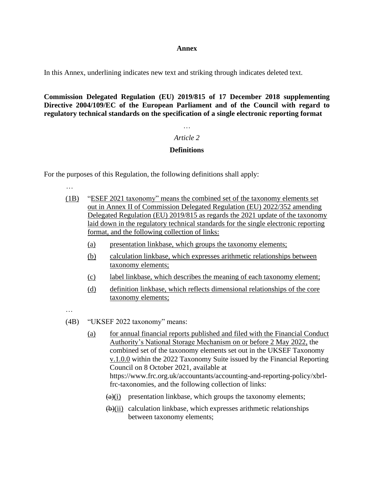#### **Annex**

In this Annex, underlining indicates new text and striking through indicates deleted text.

**Commission Delegated Regulation (EU) 2019/815 of 17 December 2018 supplementing Directive 2004/109/EC of the European Parliament and of the Council with regard to regulatory technical standards on the specification of a single electronic reporting format**

# *Article 2*

# **Definitions**

For the purposes of this Regulation, the following definitions shall apply:

…

- (1B) "ESEF 2021 taxonomy" means the combined set of the taxonomy elements set out in Annex II of Commission Delegated Regulation (EU) 2022/352 amending Delegated Regulation (EU) 2019/815 as regards the 2021 update of the taxonomy laid down in the regulatory technical standards for the single electronic reporting format, and the following collection of links:
	- (a) presentation linkbase, which groups the taxonomy elements;
	- (b) calculation linkbase, which expresses arithmetic relationships between taxonomy elements;
	- (c) label linkbase, which describes the meaning of each taxonomy element;
	- (d) definition linkbase, which reflects dimensional relationships of the core taxonomy elements;

…

- (4B) "UKSEF 2022 taxonomy" means:
	- (a) for annual financial reports published and filed with the Financial Conduct Authority's National Storage Mechanism on or before 2 May 2022, the combined set of the taxonomy elements set out in the UKSEF Taxonomy v.1.0.0 within the 2022 Taxonomy Suite issued by the Financial Reporting Council on 8 October 2021, available at https://www.frc.org.uk/accountants/accounting-and-reporting-policy/xbrlfrc-taxonomies, and the following collection of links:
		- $(a)(i)$  presentation linkbase, which groups the taxonomy elements;
		- $\overline{(b)}$ (ii) calculation linkbase, which expresses arithmetic relationships between taxonomy elements;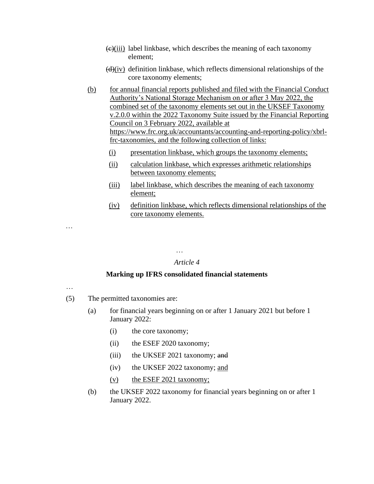- $\left(\frac{e}{i}\right)$  label linkbase, which describes the meaning of each taxonomy element;
- $(d)(iv)$  definition linkbase, which reflects dimensional relationships of the core taxonomy elements;

(b) for annual financial reports published and filed with the Financial Conduct Authority's National Storage Mechanism on or after 3 May 2022, the combined set of the taxonomy elements set out in the UKSEF Taxonomy v.2.0.0 within the 2022 Taxonomy Suite issued by the Financial Reporting Council on 3 February 2022, available at https://www.frc.org.uk/accountants/accounting-and-reporting-policy/xbrlfrc-taxonomies, and the following collection of links:

- (i) presentation linkbase, which groups the taxonomy elements;
- (ii) calculation linkbase, which expresses arithmetic relationships between taxonomy elements;
- (iii) label linkbase, which describes the meaning of each taxonomy element;
- (iv) definition linkbase, which reflects dimensional relationships of the core taxonomy elements.

…

## *Article 4*

#### **Marking up IFRS consolidated financial statements**

…

…

- (5) The permitted taxonomies are:
	- (a) for financial years beginning on or after 1 January 2021 but before 1 January 2022:
		- (i) the core taxonomy;
		- (ii) the ESEF 2020 taxonomy;
		- (iii) the UKSEF 2021 taxonomy; and
		- (iv) the UKSEF 2022 taxonomy; and
		- (v) the ESEF 2021 taxonomy;
	- (b) the UKSEF 2022 taxonomy for financial years beginning on or after 1 January 2022.